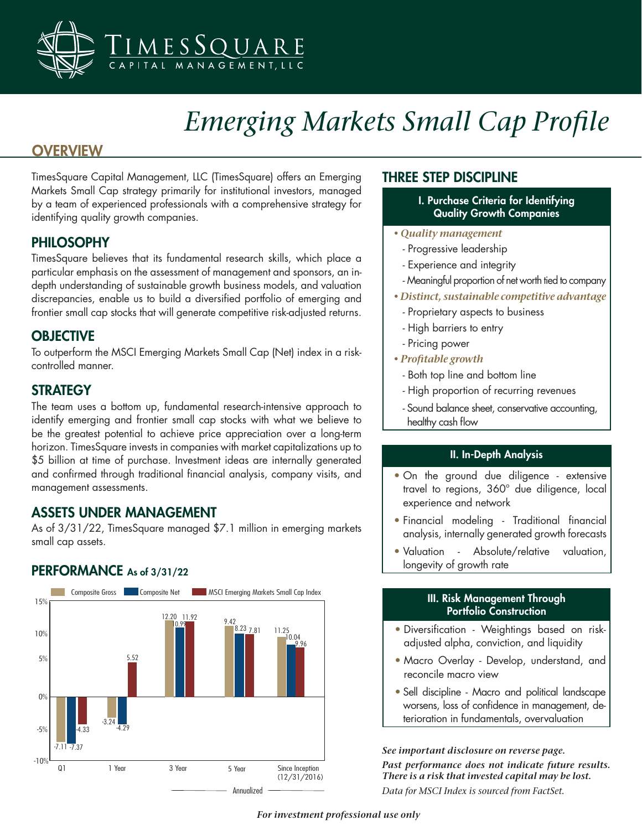

# *Emerging Markets Small Cap Profile*

# **OVERVIEW**

TimesSquare Capital Management, LLC (TimesSquare) offers an Emerging Markets Small Cap strategy primarily for institutional investors, managed by a team of experienced professionals with a comprehensive strategy for identifying quality growth companies.

## PHILOSOPHY

TimesSquare believes that its fundamental research skills, which place a particular emphasis on the assessment of management and sponsors, an indepth understanding of sustainable growth business models, and valuation discrepancies, enable us to build a diversified portfolio of emerging and frontier small cap stocks that will generate competitive risk-adjusted returns.

## **OBJECTIVE**

To outperform the MSCI Emerging Markets Small Cap (Net) index in a riskcontrolled manner.

## **STRATEGY**

The team uses a bottom up, fundamental research-intensive approach to identify emerging and frontier small cap stocks with what we believe to be the greatest potential to achieve price appreciation over a long-term horizon. TimesSquare invests in companies with market capitalizations up to \$5 billion at time of purchase. Investment ideas are internally generated and confirmed through traditional financial analysis, company visits, and management assessments.

## ASSETS UNDER MANAGEMENT

As of 3/31/22, TimesSquare managed \$7.1 million in emerging markets small cap assets.

## PERFORMANCE As of 3/31/22



## THREE STEP DISCIPLINE

- I. Purchase Criteria for Identifying Quality Growth Companies
- *Quality management*
	- Progressive leadership
- Experience and integrity
- Meaningful proportion of net worth tied to company
- *Distinct, sustainable competitive advantage*
	- Proprietary aspects to business
	- High barriers to entry
	- Pricing power
- *Profitable growth*
	- Both top line and bottom line
	- High proportion of recurring revenues
	- Sound balance sheet, conservative accounting, healthy cash flow

## II. In-Depth Analysis

- On the ground due diligence extensive travel to regions, 360° due diligence, local experience and network
- Financial modeling Traditional financial analysis, internally generated growth forecasts
- Valuation Absolute/relative valuation, longevity of growth rate

### III. Risk Management Through Portfolio Construction

- Diversification Weightings based on riskadjusted alpha, conviction, and liquidity
- Macro Overlay Develop, understand, and reconcile macro view
- Sell discipline Macro and political landscape worsens, loss of confidence in management, deterioration in fundamentals, overvaluation

### *See important disclosure on reverse page.*

*Past performance does not indicate future results. There is a risk that invested capital may be lost. Data for MSCI Index is sourced from FactSet.*

### *For investment professional use only*